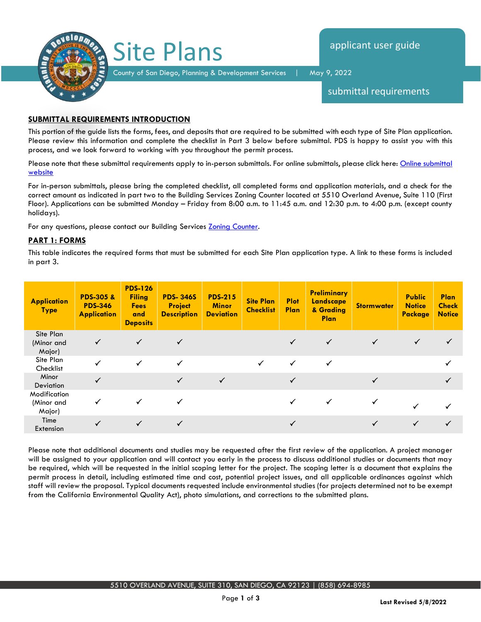

submittal requirements

## **SUBMITTAL REQUIREMENTS INTRODUCTION**

This portion of the guide lists the forms, fees, and deposits that are required to be submitted with each type of Site Plan application. Please review this information and complete the checklist in Part 3 below before submittal. PDS is happy to assist you with this process, and we look forward to working with you throughout the permit process.

Please note that these submittal requirements apply to in-person submittals. For online submittals, please click here: Online submittal [website](https://publicservices.sandiegocounty.gov/CitizenAccess/Default.aspx)

For in-person submittals, please bring the completed checklist, all completed forms and application materials, and a check for the correct amount as indicated in part two to the Building Services Zoning Counter located at 5510 Overland Avenue, Suite 110 (First Floor). Applications can be submitted Monday – Friday from 8:00 a.m. to 11:45 a.m. and 12:30 p.m. to 4:00 p.m. (except county holidays).

For any questions, please contact our Building Services [Zoning Counter.](https://www.sandiegocounty.gov/content/sdc/pds/deptfile.html)

## **PART 1: FORMS**

This table indicates the required forms that must be submitted for each Site Plan application type. A link to these forms is included in part 3.

| <b>Application</b><br><b>Type</b>    | <b>PDS-305 &amp;</b><br><b>PDS-346</b><br><b>Application</b> | <b>PDS-126</b><br><b>Filing</b><br><b>Fees</b><br>and<br><b>Deposits</b> | <b>PDS-346S</b><br><b>Project</b><br><b>Description</b> | <b>PDS-215</b><br><b>Minor</b><br><b>Deviation</b> | <b>Site Plan</b><br><b>Checklist</b> | <b>Plot</b><br><b>Plan</b> | <b>Preliminary</b><br>Landscape<br>& Grading<br><b>Plan</b> | <b>Stormwater</b> | <b>Public</b><br><b>Notice</b><br><b>Package</b> | <b>Plan</b><br><b>Check</b><br><b>Notice</b> |
|--------------------------------------|--------------------------------------------------------------|--------------------------------------------------------------------------|---------------------------------------------------------|----------------------------------------------------|--------------------------------------|----------------------------|-------------------------------------------------------------|-------------------|--------------------------------------------------|----------------------------------------------|
| Site Plan<br>(Minor and<br>Major)    | $\checkmark$                                                 |                                                                          |                                                         |                                                    |                                      | $\checkmark$               | $\checkmark$                                                |                   | ✓                                                |                                              |
| Site Plan<br>Checklist               | $\checkmark$                                                 |                                                                          | $\checkmark$                                            |                                                    | $\checkmark$                         | ✓                          | $\checkmark$                                                |                   |                                                  |                                              |
| Minor<br>Deviation                   | $\checkmark$                                                 |                                                                          | $\checkmark$                                            | $\checkmark$                                       |                                      |                            |                                                             |                   |                                                  |                                              |
| Modification<br>(Minor and<br>Major) |                                                              |                                                                          |                                                         |                                                    |                                      |                            |                                                             |                   |                                                  |                                              |
| Time<br>Extension                    | $\checkmark$                                                 |                                                                          |                                                         |                                                    |                                      |                            |                                                             |                   |                                                  |                                              |

Please note that additional documents and studies may be requested after the first review of the application. A project manager will be assigned to your application and will contact you early in the process to discuss additional studies or documents that may be required, which will be requested in the initial scoping letter for the project. The scoping letter is a document that explains the permit process in detail, including estimated time and cost, potential project issues, and all applicable ordinances against which staff will review the proposal. Typical documents requested include environmental studies (for projects determined not to be exempt from the California Environmental Quality Act), photo simulations, and corrections to the submitted plans.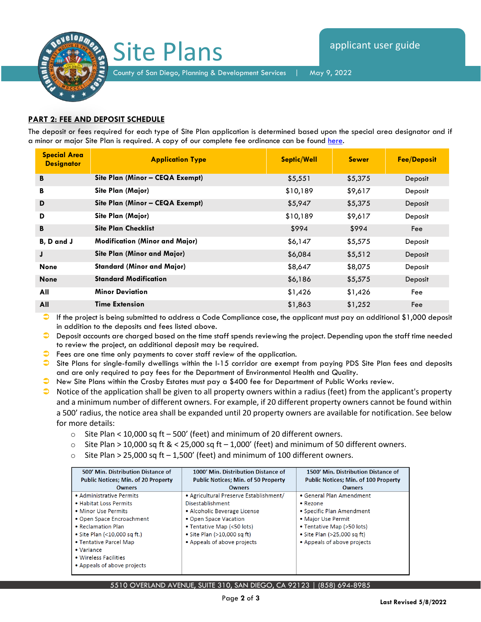

## **PART 2: FEE AND DEPOSIT SCHEDULE**

The deposit or fees required for each type of Site Plan application is determined based upon the special area designator and if a minor or major Site Plan is required. A copy of our complete fee ordinance can be found here.

| <b>Special Area</b><br><b>Designator</b> | <b>Application Type</b>               | <b>Septic/Well</b> | <b>Sewer</b> | <b>Fee/Deposit</b> |
|------------------------------------------|---------------------------------------|--------------------|--------------|--------------------|
| B                                        | Site Plan (Minor - CEQA Exempt)       | \$5,551            | \$5,375      | Deposit            |
| В                                        | Site Plan (Major)                     | \$10,189           | \$9,617      | Deposit            |
| D                                        | Site Plan (Minor - CEQA Exempt)       | \$5,947            | \$5,375      | Deposit            |
| D                                        | Site Plan (Major)                     | \$10,189           | \$9,617      | Deposit            |
| B                                        | <b>Site Plan Checklist</b>            | \$994              | \$994        | Fee                |
| B, D and J                               | <b>Modification (Minor and Major)</b> | \$6,147            | \$5,575      | Deposit            |
| J                                        | Site Plan (Minor and Major)           | \$6,084            | \$5,512      | Deposit            |
| <b>None</b>                              | <b>Standard (Minor and Major)</b>     | \$8,647            | \$8,075      | Deposit            |
| <b>None</b>                              | <b>Standard Modification</b>          | \$6,186            | \$5,575      | Deposit            |
| All                                      | <b>Minor Deviation</b>                | \$1,426            | \$1,426      | Fee                |
| All                                      | <b>Time Extension</b>                 | \$1,863            | \$1,252      | Fee                |

 $\bullet$  If the project is being submitted to address a Code Compliance case, the applicant must pay an additional \$1,000 deposit in addition to the deposits and fees listed above.

 Deposit accounts are charged based on the time staff spends reviewing the project. Depending upon the staff time needed to review the project, an additional deposit may be required.

- $\bullet$  Fees are one time only payments to cover staff review of the application.
- $\bullet$  Site Plans for single-family dwellings within the I-15 corridor are exempt from paying PDS Site Plan fees and deposits and are only required to pay fees for the Department of Environmental Health and Quality.
- New Site Plans within the Crosby Estates must pay a \$400 fee for Department of Public Works review.
- $\bullet$  Notice of the application shall be given to all property owners within a radius (feet) from the applicant's property and a minimum number of different owners. For example, if 20 different property owners cannot be found within a 500' radius, the notice area shall be expanded until 20 property owners are available for notification. See below for more details:
	- o Site Plan < 10,000 sq ft 500' (feet) and minimum of 20 different owners.
	- $\circ$  Site Plan > 10,000 sq ft & < 25,000 sq ft 1,000' (feet) and minimum of 50 different owners.
	- $\circ$  Site Plan > 25,000 sq ft 1,500' (feet) and minimum of 100 different owners.

| 500' Min. Distribution Distance of         | 1000' Min. Distribution Distance of        | 1500' Min. Distribution Distance of         |
|--------------------------------------------|--------------------------------------------|---------------------------------------------|
| <b>Public Notices; Min. of 20 Property</b> | <b>Public Notices; Min. of 50 Property</b> | <b>Public Notices; Min. of 100 Property</b> |
| <b>Owners</b>                              | <b>Owners</b>                              | <b>Owners</b>                               |
| • Administrative Permits                   | • Agricultural Preserve Establishment/     | • General Plan Amendment                    |
| . Habitat Loss Permits                     | Disestablishment                           | $\bullet$ Rezone                            |
| • Minor Use Permits                        | • Alcoholic Beverage License               | • Specific Plan Amendment                   |
| • Open Space Encroachment                  | • Open Space Vacation                      | • Major Use Permit                          |
| • Reclamation Plan                         | • Tentative Map (<50 lots)                 | • Tentative Map (>50 lots)                  |
| $\bullet$ Site Plan (<10,000 sq ft.)       | $\bullet$ Site Plan (>10,000 sq ft)        | $\bullet$ Site Plan (>25,000 sq ft)         |
| • Tentative Parcel Map                     | • Appeals of above projects                | • Appeals of above projects                 |
| $\bullet$ Variance                         |                                            |                                             |
| • Wireless Facilities                      |                                            |                                             |
| • Appeals of above projects                |                                            |                                             |

5510 OVERLAND AVENUE, SUITE 310, SAN DIEGO, CA 92123 | (858) 694-8985